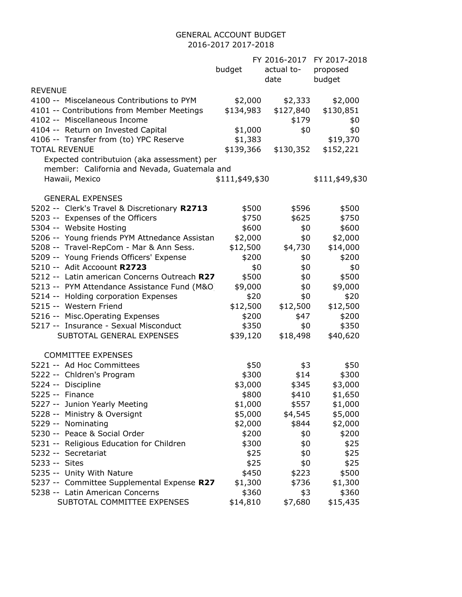## GENERAL ACCOUNT BUDGET 2016-2017 2017-2018

|                                                        | budget            | actual to-<br>date | FY 2016-2017 FY 2017-2018<br>proposed<br>budget |
|--------------------------------------------------------|-------------------|--------------------|-------------------------------------------------|
| <b>REVENUE</b>                                         |                   |                    |                                                 |
| 4100 -- Miscelaneous Contributions to PYM              | \$2,000           | \$2,333            | \$2,000                                         |
| 4101 -- Contributions from Member Meetings             | \$134,983         | \$127,840          | \$130,851                                       |
| 4102 -- Miscellaneous Income                           |                   | \$179              | \$0                                             |
| 4104 -- Return on Invested Capital                     | \$1,000           | \$0                | \$0                                             |
| 4106 -- Transfer from (to) YPC Reserve                 | \$1,383           |                    | \$19,370                                        |
| <b>TOTAL REVENUE</b>                                   | \$139,366         | \$130,352          | \$152,221                                       |
| Expected contributuion (aka assessment) per            |                   |                    |                                                 |
| member: California and Nevada, Guatemala and           |                   |                    |                                                 |
| Hawaii, Mexico                                         | \$111, \$49, \$30 |                    | \$111, \$49, \$30                               |
|                                                        |                   |                    |                                                 |
| <b>GENERAL EXPENSES</b>                                |                   |                    |                                                 |
| 5202 -- Clerk's Travel & Discretionary R2713           | \$500             | \$596              | \$500                                           |
| 5203 -- Expenses of the Officers                       | \$750             | \$625              | \$750                                           |
| 5304 -- Website Hosting                                | \$600             | \$0                | \$600                                           |
| 5206 -- Young friends PYM Attnedance Assistan          | \$2,000           | \$0                | \$2,000                                         |
| 5208 -- Travel-RepCom - Mar & Ann Sess.                | \$12,500          | \$4,730            | \$14,000                                        |
| 5209 -- Young Friends Officers' Expense                | \$200             | \$0                | \$200                                           |
| 5210 -- Adit Accoount R2723                            | \$0               | \$0                | \$0                                             |
| 5212 -- Latin american Concerns Outreach R27           | \$500             | \$0                | \$500                                           |
| 5213 -- PYM Attendance Assistance Fund (M&O)           | \$9,000           | \$0                | \$9,000                                         |
| 5214 -- Holding corporation Expenses                   | \$20              | \$0                | \$20                                            |
| 5215 -- Western Friend                                 | \$12,500          | \$12,500           | \$12,500                                        |
| 5216 -- Misc.Operating Expenses                        | \$200             | \$47               | \$200                                           |
| 5217 -- Insurance - Sexual Misconduct                  | \$350             | \$0                | \$350                                           |
| SUBTOTAL GENERAL EXPENSES                              | \$39,120          | \$18,498           | \$40,620                                        |
|                                                        |                   |                    |                                                 |
| <b>COMMITTEE EXPENSES</b><br>5221 -- Ad Hoc Committees | \$50              | \$3                | \$50                                            |
| 5222 -- Chldren's Program                              | \$300             | \$14               | \$300                                           |
| 5224 -- Discipline                                     | \$3,000           | \$345              | \$3,000                                         |
| 5225 -- Finance                                        | \$800             | \$410              | \$1,650                                         |
| 5227 -- Junion Yearly Meeting                          | \$1,000           | \$557              | \$1,000                                         |
| 5228 -- Ministry & Oversignt                           | \$5,000           | \$4,545            | \$5,000                                         |
| 5229 -- Nominating                                     | \$2,000           | \$844              | \$2,000                                         |
| 5230 -- Peace & Social Order                           | \$200             | \$0                | \$200                                           |
| 5231 -- Religious Education for Children               | \$300             | \$0                | \$25                                            |
| 5232 -- Secretariat                                    | \$25              | \$0                | \$25                                            |
| 5233 -- Sites                                          | \$25              | \$0                | \$25                                            |
| 5235 -- Unity With Nature                              | \$450             | \$223              | \$500                                           |
| 5237 -- Committee Supplemental Expense R27             | \$1,300           | \$736              | \$1,300                                         |
| 5238 -- Latin American Concerns                        | \$360             | \$3                | \$360                                           |
| SUBTOTAL COMMITTEE EXPENSES                            | \$14,810          | \$7,680            | \$15,435                                        |
|                                                        |                   |                    |                                                 |